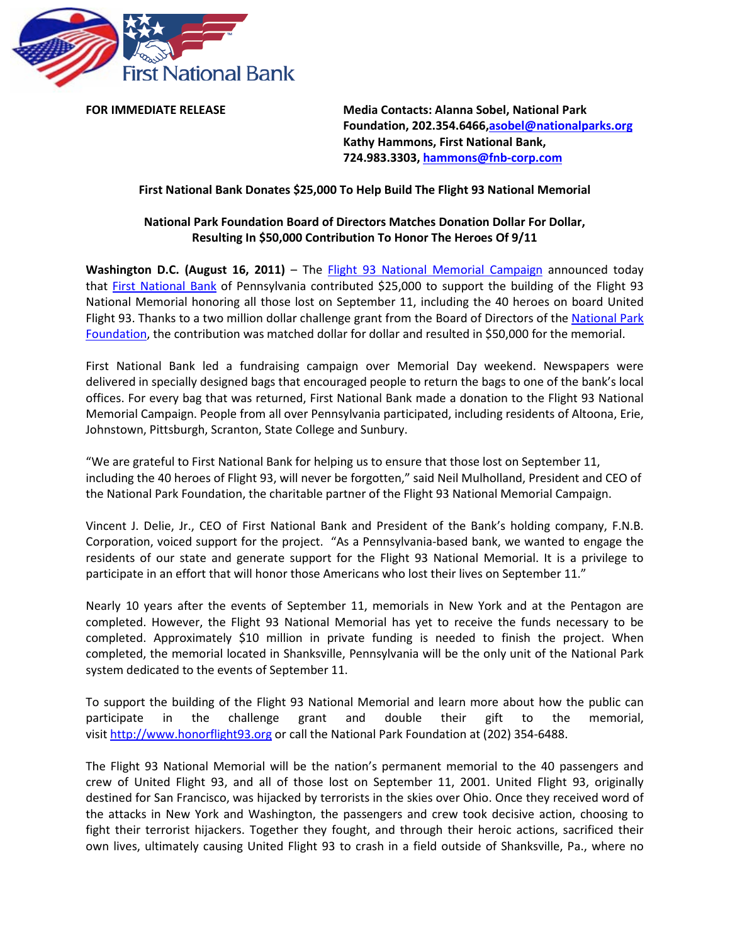

**FOR IMMEDIATE RELEASE Media Contacts: Alanna Sobel, National Park Foundation, 202.354.6466[,asobel@nationalparks.org](mailto:asobel@nationalparks.org) Kathy Hammons, First National Bank, 724.983.3303, [hammons@fnb-corp.com](mailto:hammons@fnb-corp.com)**

# **First National Bank Donates \$25,000 To Help Build The Flight 93 National Memorial**

# **National Park Foundation Board of Directors Matches Donation Dollar For Dollar, Resulting In \$50,000 Contribution To Honor The Heroes Of 9/11**

**Washington D.C. (August 16, 2011)** – The [Flight 93 National Memorial Campaign](http://www.honorflight93.org/) announced today that [First National Bank](https://www.fnb-online.com/) of Pennsylvania contributed \$25,000 to support the building of the Flight 93 National Memorial honoring all those lost on September 11, including the 40 heroes on board United Flight 93. Thanks to a two million dollar challenge grant from the Board of Directors of the National Park [Foundation,](http://www.nationalparks.org/) the contribution was matched dollar for dollar and resulted in \$50,000 for the memorial.

First National Bank led a fundraising campaign over Memorial Day weekend. Newspapers were delivered in specially designed bags that encouraged people to return the bags to one of the bank's local offices. For every bag that was returned, First National Bank made a donation to the Flight 93 National Memorial Campaign. People from all over Pennsylvania participated, including residents of Altoona, Erie, Johnstown, Pittsburgh, Scranton, State College and Sunbury.

"We are grateful to First National Bank for helping us to ensure that those lost on September 11, including the 40 heroes of Flight 93, will never be forgotten," said Neil Mulholland, President and CEO of the National Park Foundation, the charitable partner of the Flight 93 National Memorial Campaign.

Vincent J. Delie, Jr., CEO of First National Bank and President of the Bank's holding company, F.N.B. Corporation, voiced support for the project. "As a Pennsylvania-based bank, we wanted to engage the residents of our state and generate support for the Flight 93 National Memorial. It is a privilege to participate in an effort that will honor those Americans who lost their lives on September 11."

Nearly 10 years after the events of September 11, memorials in New York and at the Pentagon are completed. However, the Flight 93 National Memorial has yet to receive the funds necessary to be completed. Approximately \$10 million in private funding is needed to finish the project. When completed, the memorial located in Shanksville, Pennsylvania will be the only unit of the National Park system dedicated to the events of September 11.

To support the building of the Flight 93 National Memorial and learn more about how the public can participate in the challenge grant and double their gift to the memorial, visi[t http://www.honorflight93.org](http://www.honorflight93.org/) or call the National Park Foundation at (202) 354-6488.

The Flight 93 National Memorial will be the nation's permanent memorial to the 40 passengers and crew of United Flight 93, and all of those lost on September 11, 2001. United Flight 93, originally destined for San Francisco, was hijacked by terrorists in the skies over Ohio. Once they received word of the attacks in New York and Washington, the passengers and crew took decisive action, choosing to fight their terrorist hijackers. Together they fought, and through their heroic actions, sacrificed their own lives, ultimately causing United Flight 93 to crash in a field outside of Shanksville, Pa., where no